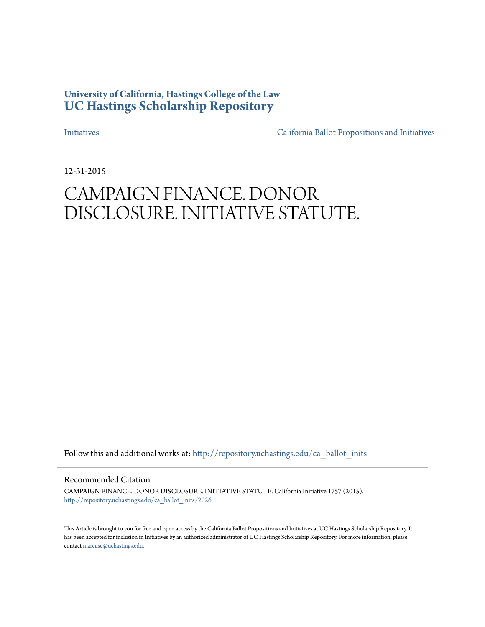## **University of California, Hastings College of the Law [UC Hastings Scholarship Repository](http://repository.uchastings.edu?utm_source=repository.uchastings.edu%2Fca_ballot_inits%2F2026&utm_medium=PDF&utm_campaign=PDFCoverPages)**

[Initiatives](http://repository.uchastings.edu/ca_ballot_inits?utm_source=repository.uchastings.edu%2Fca_ballot_inits%2F2026&utm_medium=PDF&utm_campaign=PDFCoverPages) [California Ballot Propositions and Initiatives](http://repository.uchastings.edu/ca_ballots?utm_source=repository.uchastings.edu%2Fca_ballot_inits%2F2026&utm_medium=PDF&utm_campaign=PDFCoverPages)

12-31-2015

# CAMPAIGN FINANCE. DONOR DISCLOSURE. INITIATIVE STATUTE.

Follow this and additional works at: [http://repository.uchastings.edu/ca\\_ballot\\_inits](http://repository.uchastings.edu/ca_ballot_inits?utm_source=repository.uchastings.edu%2Fca_ballot_inits%2F2026&utm_medium=PDF&utm_campaign=PDFCoverPages)

Recommended Citation

CAMPAIGN FINANCE. DONOR DISCLOSURE. INITIATIVE STATUTE. California Initiative 1757 (2015). [http://repository.uchastings.edu/ca\\_ballot\\_inits/2026](http://repository.uchastings.edu/ca_ballot_inits/2026?utm_source=repository.uchastings.edu%2Fca_ballot_inits%2F2026&utm_medium=PDF&utm_campaign=PDFCoverPages)

This Article is brought to you for free and open access by the California Ballot Propositions and Initiatives at UC Hastings Scholarship Repository. It has been accepted for inclusion in Initiatives by an authorized administrator of UC Hastings Scholarship Repository. For more information, please contact [marcusc@uchastings.edu](mailto:marcusc@uchastings.edu).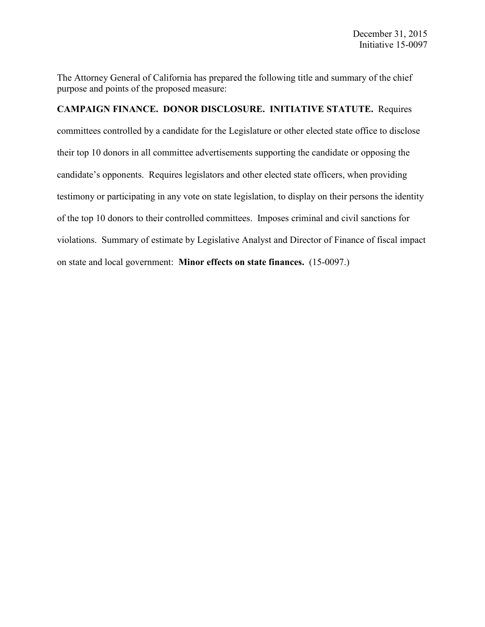The Attorney General of California has prepared the following title and summary of the chief purpose and points of the proposed measure:

## **CAMPAIGN FINANCE. DONOR DISCLOSURE. INITIATIVE STATUTE.** Requires

committees controlled by a candidate for the Legislature or other elected state office to disclose their top 10 donors in all committee advertisements supporting the candidate or opposing the candidate's opponents. Requires legislators and other elected state officers, when providing testimony or participating in any vote on state legislation, to display on their persons the identity of the top 10 donors to their controlled committees. Imposes criminal and civil sanctions for violations. Summary of estimate by Legislative Analyst and Director of Finance of fiscal impact on state and local government: **Minor effects on state finances.** (15-0097.)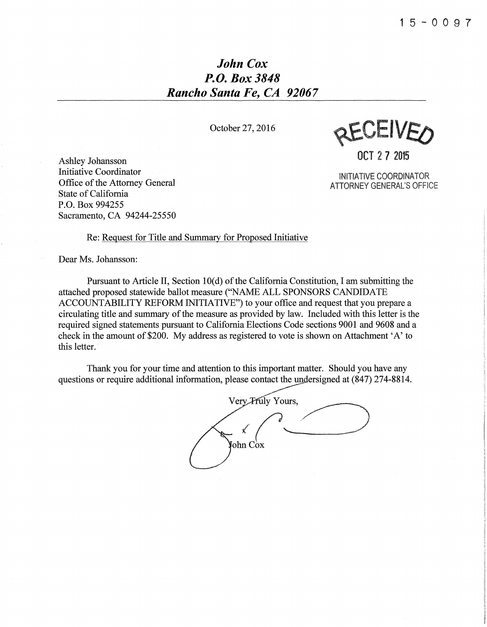# *John Cox P.O. Box 3848 Rancho Santa Fe, CA 92067*

October 27,2016

REALIVEO

**OCT** 27 2015

INITIATIVE COORDINATOR ATTORNEY GENERAL'S OFFICE

Ashley Johansson Initiative Coordinator Office of the Attorney General State of California P.O. Box 994255 Sacramento, CA 94244-25550

Re: Request for Title and Summary for Proposed Initiative

Dear Ms. Johansson:

Pursuant to Article II, Section 10(d) of the California Constitution, I am submitting the attached proposed statewide ballot measure ("NAME ALL SPONSORS CANDIDATE ACCOUNTABILITY REFORM INITIATIVE") to your office and request that you prepare a circulating title and summary of the measure as provided by law. Included with this letter is the required signed statements pursuant to California Elections Code sections 9001 and 9608 and a check in the amount of \$200. My address as registered to vote is shown on Attachment 'A' to this letter.

Thank you for your time and attention to this important matter. Should you have any questions or require additional information, please contact the undersigned at (847) 274-8814.

Very Fruly Yours, ≮ ohn Cox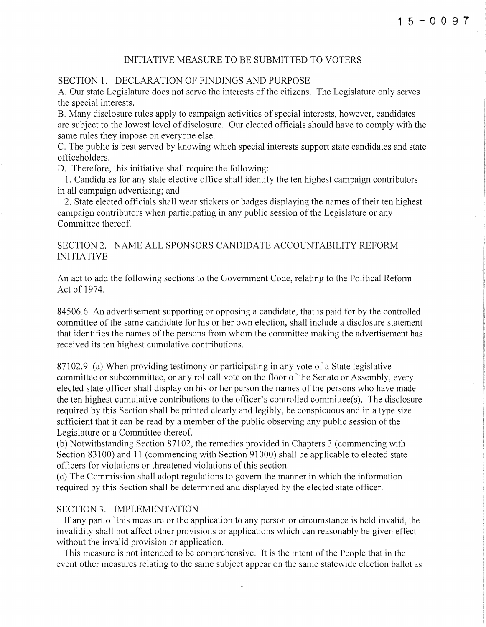#### INITIATIVE MEASURE TO BE SUBMITTED TO VOTERS

#### SECTION 1. DECLARATION OF FINDINGS AND PURPOSE

A. Our state Legislature does not serve the interests of the citizens. The Legislature only serves the special interests.

B. Many disclosure rules apply to campaign activities of special interests, however, candidates are subject to the lowest level of disclosure. Our elected officials should have to comply with the same rules they impose on everyone else.

C. The public is best served by knowing which special interests support state candidates and state officeholders.

D. Therefore, this initiative shall require the following:

1. Candidates for any state elective office shall identify the ten highest campaign contributors in all campaign advertising; and

2. State elected officials shall wear stickers or badges displaying the names of their ten highest campaign contributors when participating in any public session of the Legislature or any Committee thereof.

### SECTION 2. NAME ALL SPONSORS CANDIDATE ACCOUNTABILITY REFORM INITIATIVE

An act to add the following sections to the Government Code, relating to the Political Reform Act of 1974.

84506.6. An advertisement supporting or opposing a candidate, that is paid for by the controlled committee of the same candidate for his or her own election, shall include a disclosure statement that identifies the names of the persons from whom the committee making the advertisement has received its ten highest cumulative contributions.

87102.9. (a) When providing testimony or participating in any vote of a State legislative committee or subcommittee, or any rollcall vote on the floor of the Senate or Assembly, every elected state officer shall display on his or her person the names of the persons who have made the ten highest cumulative contributions to the officer's controlled comrnittee(s). The disclosure required by this Section shall be printed clearly and legibly, be conspicuous and in a type size sufficient that it can be read by a member of the public observing any public session of the Legislature or a Committee thereof.

(b) Notwithstanding Section 87102, the remedies provided in Chapters 3 (commencing with Section 83100) and 11 (commencing with Section 91000) shall be applicable to elected state officers for violations or threatened violations of this section.

(c) The Commission shall adopt regulations to govern the manner in which the information required by this Section shall be determined and displayed by the elected state officer.

#### SECTION 3. IMPLEMENTATION

If any part of this measure or the application to any person or circumstance is held invalid, the invalidity shall not affect other provisions or applications which can reasonably be given effect without the invalid provision or application.

This measure is not intended to be comprehensive. It is the intent of the People that in the event other measures relating to the same subject appear on the same statewide election ballot as